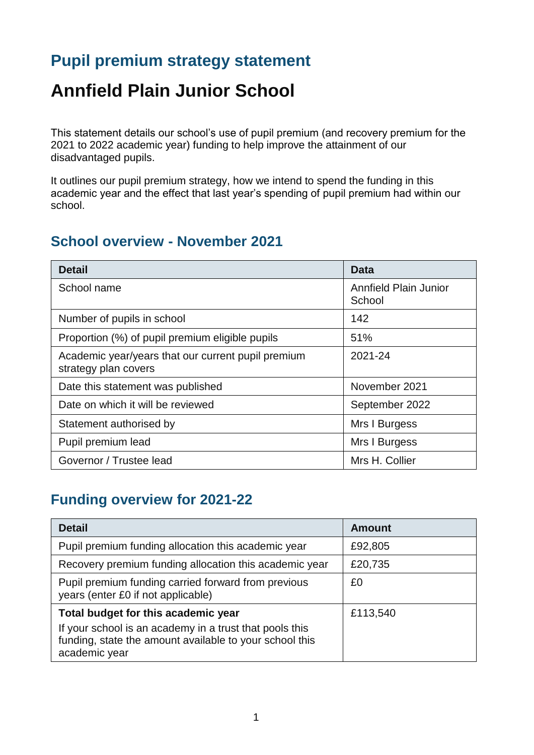# **Pupil premium strategy statement**

# **Annfield Plain Junior School**

This statement details our school's use of pupil premium (and recovery premium for the 2021 to 2022 academic year) funding to help improve the attainment of our disadvantaged pupils.

It outlines our pupil premium strategy, how we intend to spend the funding in this academic year and the effect that last year's spending of pupil premium had within our school.

#### **School overview - November 2021**

| <b>Detail</b>                                                              | Data                                   |
|----------------------------------------------------------------------------|----------------------------------------|
| School name                                                                | <b>Annfield Plain Junior</b><br>School |
| Number of pupils in school                                                 | 142                                    |
| Proportion (%) of pupil premium eligible pupils                            | 51%                                    |
| Academic year/years that our current pupil premium<br>strategy plan covers | 2021-24                                |
| Date this statement was published                                          | November 2021                          |
| Date on which it will be reviewed                                          | September 2022                         |
| Statement authorised by                                                    | Mrs I Burgess                          |
| Pupil premium lead                                                         | Mrs I Burgess                          |
| Governor / Trustee lead                                                    | Mrs H. Collier                         |

### **Funding overview for 2021-22**

| <b>Detail</b>                                                                                                                                                              | <b>Amount</b> |
|----------------------------------------------------------------------------------------------------------------------------------------------------------------------------|---------------|
| Pupil premium funding allocation this academic year                                                                                                                        | £92,805       |
| Recovery premium funding allocation this academic year                                                                                                                     | £20,735       |
| Pupil premium funding carried forward from previous<br>years (enter £0 if not applicable)                                                                                  | £0            |
| Total budget for this academic year<br>If your school is an academy in a trust that pools this<br>funding, state the amount available to your school this<br>academic year | £113,540      |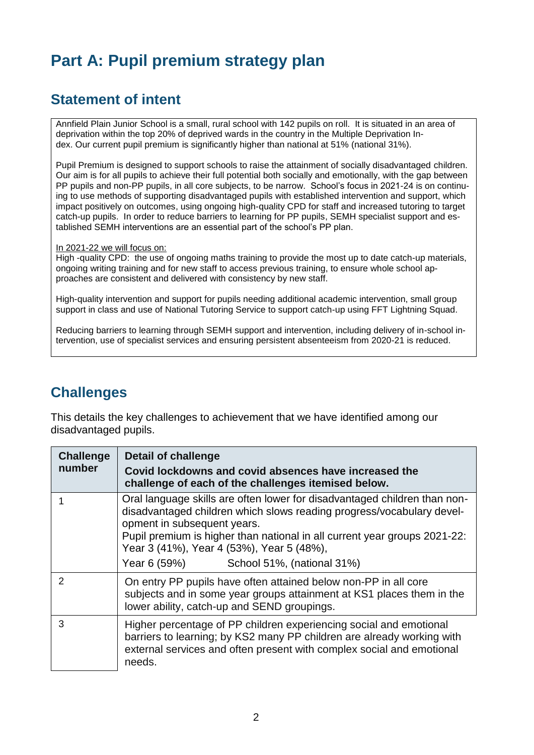# **Part A: Pupil premium strategy plan**

### **Statement of intent**

Annfield Plain Junior School is a small, rural school with 142 pupils on roll. It is situated in an area of deprivation within the top 20% of deprived wards in the country in the Multiple Deprivation Index. Our current pupil premium is significantly higher than national at 51% (national 31%).

Pupil Premium is designed to support schools to raise the attainment of socially disadvantaged children. Our aim is for all pupils to achieve their full potential both socially and emotionally, with the gap between PP pupils and non-PP pupils, in all core subjects, to be narrow. School's focus in 2021-24 is on continuing to use methods of supporting disadvantaged pupils with established intervention and support, which impact positively on outcomes, using ongoing high-quality CPD for staff and increased tutoring to target catch-up pupils. In order to reduce barriers to learning for PP pupils, SEMH specialist support and established SEMH interventions are an essential part of the school's PP plan.

In 2021-22 we will focus on:

High -quality CPD: the use of ongoing maths training to provide the most up to date catch-up materials, ongoing writing training and for new staff to access previous training, to ensure whole school approaches are consistent and delivered with consistency by new staff.

High-quality intervention and support for pupils needing additional academic intervention, small group support in class and use of National Tutoring Service to support catch-up using FFT Lightning Squad.

Reducing barriers to learning through SEMH support and intervention, including delivery of in-school intervention, use of specialist services and ensuring persistent absenteeism from 2020-21 is reduced.

#### **Challenges**

This details the key challenges to achievement that we have identified among our disadvantaged pupils.

| <b>Challenge</b><br>number | <b>Detail of challenge</b><br>Covid lockdowns and covid absences have increased the<br>challenge of each of the challenges itemised below.                                                                                                                                                                                                                |
|----------------------------|-----------------------------------------------------------------------------------------------------------------------------------------------------------------------------------------------------------------------------------------------------------------------------------------------------------------------------------------------------------|
|                            | Oral language skills are often lower for disadvantaged children than non-<br>disadvantaged children which slows reading progress/vocabulary devel-<br>opment in subsequent years.<br>Pupil premium is higher than national in all current year groups 2021-22:<br>Year 3 (41%), Year 4 (53%), Year 5 (48%),<br>School 51%, (national 31%)<br>Year 6 (59%) |
| $\mathcal{P}$              | On entry PP pupils have often attained below non-PP in all core<br>subjects and in some year groups attainment at KS1 places them in the<br>lower ability, catch-up and SEND groupings.                                                                                                                                                                   |
| 3                          | Higher percentage of PP children experiencing social and emotional<br>barriers to learning; by KS2 many PP children are already working with<br>external services and often present with complex social and emotional<br>needs.                                                                                                                           |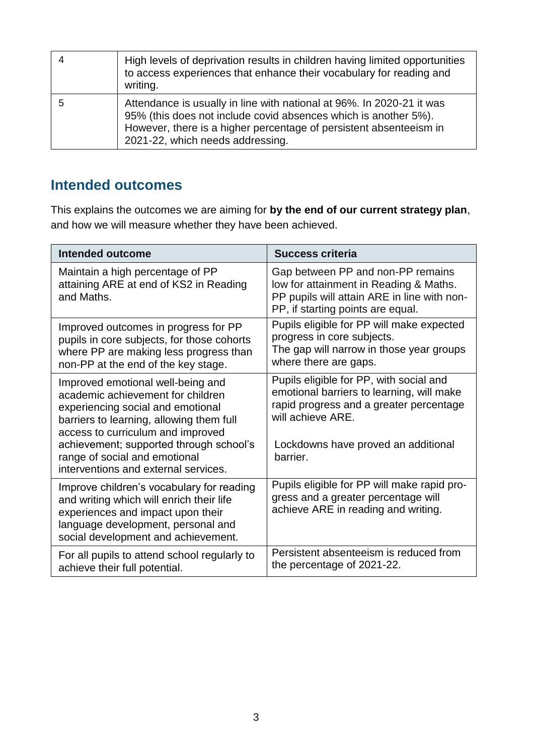| High levels of deprivation results in children having limited opportunities<br>to access experiences that enhance their vocabulary for reading and<br>writing.                                                                                     |
|----------------------------------------------------------------------------------------------------------------------------------------------------------------------------------------------------------------------------------------------------|
| Attendance is usually in line with national at 96%. In 2020-21 it was<br>95% (this does not include covid absences which is another 5%).<br>However, there is a higher percentage of persistent absenteeism in<br>2021-22, which needs addressing. |

### **Intended outcomes**

This explains the outcomes we are aiming for **by the end of our current strategy plan**, and how we will measure whether they have been achieved.

| <b>Intended outcome</b>                                                                                                                                                                                                                                                                                          | <b>Success criteria</b>                                                                                                                                                                                 |
|------------------------------------------------------------------------------------------------------------------------------------------------------------------------------------------------------------------------------------------------------------------------------------------------------------------|---------------------------------------------------------------------------------------------------------------------------------------------------------------------------------------------------------|
| Maintain a high percentage of PP<br>attaining ARE at end of KS2 in Reading<br>and Maths.                                                                                                                                                                                                                         | Gap between PP and non-PP remains<br>low for attainment in Reading & Maths.<br>PP pupils will attain ARE in line with non-<br>PP, if starting points are equal.                                         |
| Improved outcomes in progress for PP<br>pupils in core subjects, for those cohorts<br>where PP are making less progress than<br>non-PP at the end of the key stage.                                                                                                                                              | Pupils eligible for PP will make expected<br>progress in core subjects.<br>The gap will narrow in those year groups<br>where there are gaps.                                                            |
| Improved emotional well-being and<br>academic achievement for children<br>experiencing social and emotional<br>barriers to learning, allowing them full<br>access to curriculum and improved<br>achievement; supported through school's<br>range of social and emotional<br>interventions and external services. | Pupils eligible for PP, with social and<br>emotional barriers to learning, will make<br>rapid progress and a greater percentage<br>will achieve ARE.<br>Lockdowns have proved an additional<br>barrier. |
| Improve children's vocabulary for reading<br>and writing which will enrich their life<br>experiences and impact upon their<br>language development, personal and<br>social development and achievement.                                                                                                          | Pupils eligible for PP will make rapid pro-<br>gress and a greater percentage will<br>achieve ARE in reading and writing.                                                                               |
| For all pupils to attend school regularly to<br>achieve their full potential.                                                                                                                                                                                                                                    | Persistent absenteeism is reduced from<br>the percentage of 2021-22.                                                                                                                                    |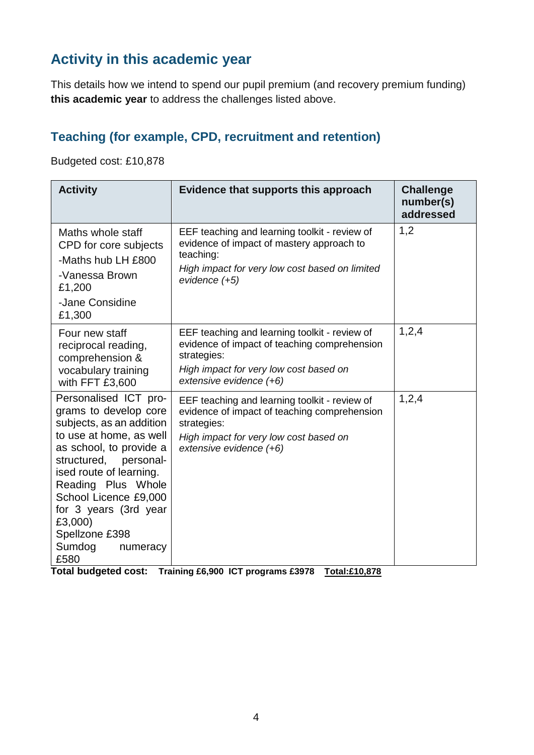## **Activity in this academic year**

This details how we intend to spend our pupil premium (and recovery premium funding) **this academic year** to address the challenges listed above.

#### **Teaching (for example, CPD, recruitment and retention)**

Budgeted cost: £10,878

| <b>Activity</b>                                                                                                                                                                                                                                                                                                            | Evidence that supports this approach                                                                                                                                              | <b>Challenge</b><br>number(s)<br>addressed |
|----------------------------------------------------------------------------------------------------------------------------------------------------------------------------------------------------------------------------------------------------------------------------------------------------------------------------|-----------------------------------------------------------------------------------------------------------------------------------------------------------------------------------|--------------------------------------------|
| Maths whole staff<br>CPD for core subjects<br>-Maths hub LH £800<br>-Vanessa Brown<br>£1,200<br>-Jane Considine<br>£1,300                                                                                                                                                                                                  | EEF teaching and learning toolkit - review of<br>evidence of impact of mastery approach to<br>teaching:<br>High impact for very low cost based on limited<br>evidence (+5)        | 1,2                                        |
| Four new staff<br>reciprocal reading,<br>comprehension &<br>vocabulary training<br>with FFT £3,600                                                                                                                                                                                                                         | EEF teaching and learning toolkit - review of<br>evidence of impact of teaching comprehension<br>strategies:<br>High impact for very low cost based on<br>extensive evidence (+6) | 1,2,4                                      |
| Personalised ICT pro-<br>grams to develop core<br>subjects, as an addition<br>to use at home, as well<br>as school, to provide a<br>structured,<br>personal-<br>ised route of learning.<br>Reading Plus Whole<br>School Licence £9,000<br>for 3 years (3rd year<br>£3,000)<br>Spellzone £398<br>Sumdog<br>numeracy<br>£580 | EEF teaching and learning toolkit - review of<br>evidence of impact of teaching comprehension<br>strategies:<br>High impact for very low cost based on<br>extensive evidence (+6) | 1,2,4                                      |

**Total budgeted cost: Training £6,900 ICT programs £3978 Total:£10,878**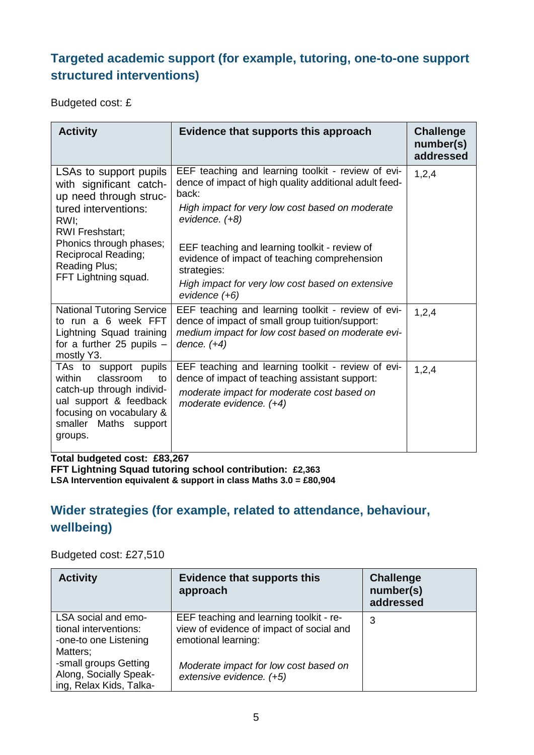#### **Targeted academic support (for example, tutoring, one-to-one support structured interventions)**

Budgeted cost: £

| <b>Activity</b>                                                                                                                                                                                                                         | Evidence that supports this approach                                                                                                                                                                                                                                                                                                                                                   | <b>Challenge</b><br>number(s)<br>addressed |
|-----------------------------------------------------------------------------------------------------------------------------------------------------------------------------------------------------------------------------------------|----------------------------------------------------------------------------------------------------------------------------------------------------------------------------------------------------------------------------------------------------------------------------------------------------------------------------------------------------------------------------------------|--------------------------------------------|
| LSAs to support pupils<br>with significant catch-<br>up need through struc-<br>tured interventions:<br>RWI:<br><b>RWI Freshstart;</b><br>Phonics through phases;<br><b>Reciprocal Reading;</b><br>Reading Plus;<br>FFT Lightning squad. | EEF teaching and learning toolkit - review of evi-<br>dence of impact of high quality additional adult feed-<br>back:<br>High impact for very low cost based on moderate<br>evidence. $(+8)$<br>EEF teaching and learning toolkit - review of<br>evidence of impact of teaching comprehension<br>strategies:<br>High impact for very low cost based on extensive<br>$e$ vidence $(+6)$ | 1,2,4                                      |
| <b>National Tutoring Service</b><br>to run a 6 week FFT<br>Lightning Squad training<br>for a further 25 pupils $-$<br>mostly Y3.                                                                                                        | EEF teaching and learning toolkit - review of evi-<br>dence of impact of small group tuition/support:<br>medium impact for low cost based on moderate evi-<br>dence. $(+4)$                                                                                                                                                                                                            | 1,2,4                                      |
| TAs to support pupils<br>classroom<br>within<br>to<br>catch-up through individ-<br>ual support & feedback<br>focusing on vocabulary &<br>smaller Maths support<br>groups.                                                               | EEF teaching and learning toolkit - review of evi-<br>dence of impact of teaching assistant support:<br>moderate impact for moderate cost based on<br>moderate evidence. $(+4)$                                                                                                                                                                                                        | 1,2,4                                      |

**Total budgeted cost: £83,267**

**FFT Lightning Squad tutoring school contribution: £2,363 LSA Intervention equivalent & support in class Maths 3.0 = £80,904** 

#### **Wider strategies (for example, related to attendance, behaviour, wellbeing)**

#### Budgeted cost: £27,510

| <b>Activity</b>                                                                   | <b>Evidence that supports this</b><br>approach                                                             | <b>Challenge</b><br>number(s)<br>addressed |
|-----------------------------------------------------------------------------------|------------------------------------------------------------------------------------------------------------|--------------------------------------------|
| LSA social and emo-<br>tional interventions:<br>-one-to one Listening<br>Matters; | EEF teaching and learning toolkit - re-<br>view of evidence of impact of social and<br>emotional learning: | 3                                          |
| -small groups Getting<br>Along, Socially Speak-<br>ing, Relax Kids, Talka-        | Moderate impact for low cost based on<br>extensive evidence. (+5)                                          |                                            |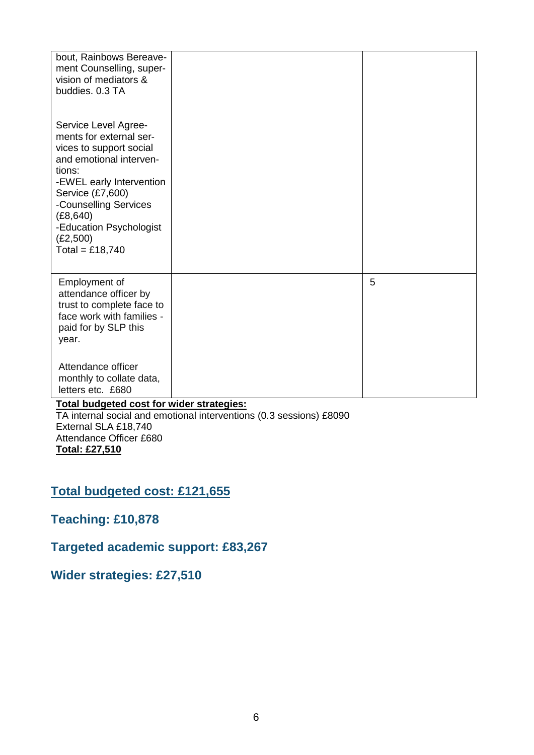| bout, Rainbows Bereave-<br>ment Counselling, super-<br>vision of mediators &<br>buddies. 0.3 TA                                                                                                                                                                 |     |   |
|-----------------------------------------------------------------------------------------------------------------------------------------------------------------------------------------------------------------------------------------------------------------|-----|---|
| Service Level Agree-<br>ments for external ser-<br>vices to support social<br>and emotional interven-<br>tions:<br>-EWEL early Intervention<br>Service (£7,600)<br>-Counselling Services<br>(E8, 640)<br>-Education Psychologist<br>(E2,500)<br>Total = £18,740 |     |   |
| Employment of<br>attendance officer by<br>trust to complete face to<br>face work with families -<br>paid for by SLP this<br>year.                                                                                                                               |     | 5 |
| Attendance officer<br>monthly to collate data,<br>letters etc. £680<br>$\sim$ $\sim$<br>.                                                                                                                                                                       | . . |   |

#### **Total budgeted cost for wider strategies:**

TA internal social and emotional interventions (0.3 sessions) £8090 External SLA £18,740 Attendance Officer £680 **Total: £27,510**

## **Total budgeted cost: £121,655**

#### **Teaching: £10,878**

#### **Targeted academic support: £83,267**

#### **Wider strategies: £27,510**